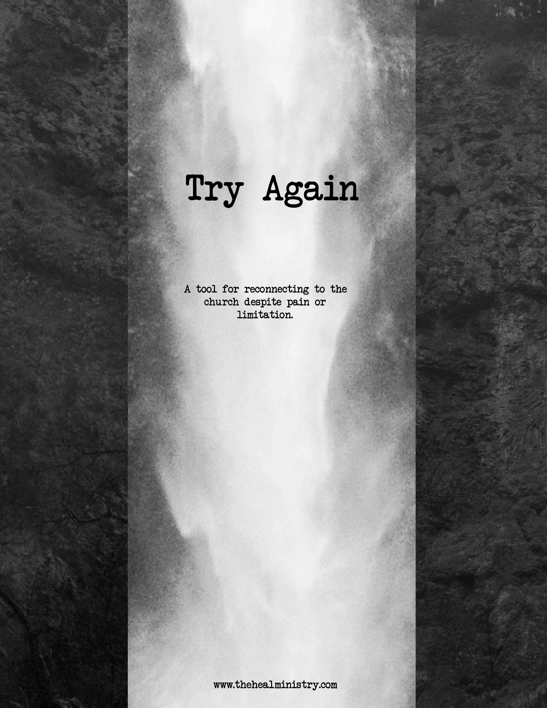## Try Again

A tool for reconnecting to the church despite pain or limitation.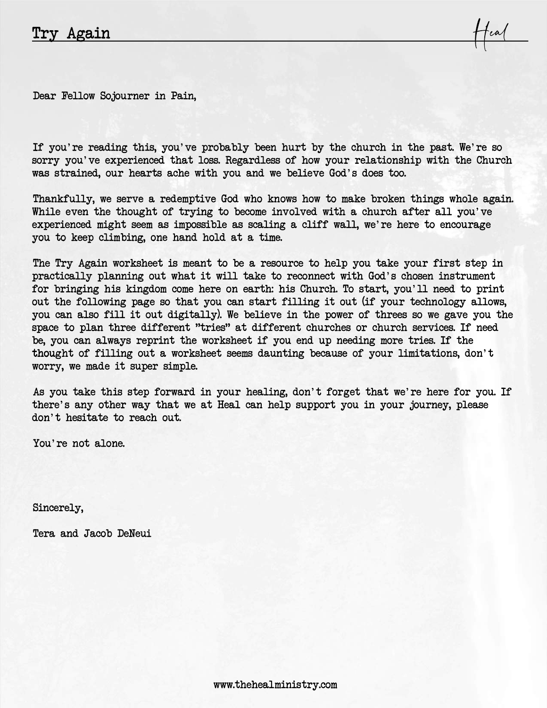Dear Fellow Sojourner in Pain,

If you're reading this, you've probably been hurt by the church in the past. We're so sorry you've experienced that loss. Regardless of how your relationship with the Church was strained, our hearts ache with you and we believe God's does too.

Thankfully, we serve a redemptive God who knows how to make broken things whole again. While even the thought of trying to become involved with a church after all you've experienced might seem as impossible as scaling a cliff wall, we're here to encourage you to keep climbing, one hand hold at a time.

The Try Again worksheet is meant to be a resource to help you take your first step in practically planning out what it will take to reconnect with God's chosen instrument for bringing his kingdom come here on earth: his Church. To start, you'll need to print out the following page so that you can start filling it out (if your technology allows, you can also fill it out digitally). We believe in the power of threes so we gave you the space to plan three different "tries" at different churches or church services. If need be, you can always reprint the worksheet if you end up needing more tries. If the thought of filling out a worksheet seems daunting because of your limitations, don't worry, we made it super simple.

As you take this step forward in your healing, don't forget that we're here for you. If there's any other way that we at Heal can help support you in your journey, please don't hesitate to reach out.

You're not alone.

Sincerely,

Tera and Jacob DeNeui